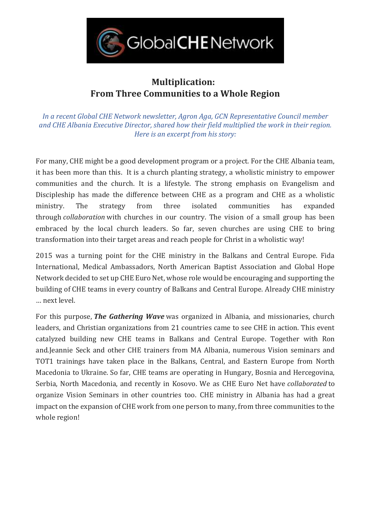

## **Multiplication: From Three Communities to a Whole Region**

*In a recent Global CHE Network newsletter, Agron Aga, GCN Representative Council member and CHE Albania Executive Director, shared how their field multiplied the work in their region. Here is an excerpt from his story:*

For many, CHE might be a good development program or a project. For the CHE Albania team, it has been more than this. It is a church planting strategy, a wholistic ministry to empower communities and the church. It is a lifestyle. The strong emphasis on Evangelism and Discipleship has made the difference between CHE as a program and CHE as a wholistic ministry. The strategy from three isolated communities has expanded through *collaboration* with churches in our country. The vision of a small group has been embraced by the local church leaders. So far, seven churches are using CHE to bring transformation into their target areas and reach people for Christ in a wholistic way!

2015 was a turning point for the CHE ministry in the Balkans and Central Europe. Fida International, Medical Ambassadors, North American Baptist Association and Global Hope Network decided to set up CHE Euro Net, whose role would be encouraging and supporting the building of CHE teams in every country of Balkans and Central Europe. Already CHE ministry … next level.

For this purpose, *The Gathering Wave* was organized in Albania, and missionaries, church leaders, and Christian organizations from 21 countries came to see CHE in action. This event catalyzed building new CHE teams in Balkans and Central Europe. Together with Ron and.Jeannie Seck and other CHE trainers from MA Albania, numerous Vision seminars and TOT1 trainings have taken place in the Balkans, Central, and Eastern Europe from North Macedonia to Ukraine. So far, CHE teams are operating in Hungary, Bosnia and Hercegovina, Serbia, North Macedonia, and recently in Kosovo. We as CHE Euro Net have *collaborated* to organize Vision Seminars in other countries too. CHE ministry in Albania has had a great impact on the expansion of CHE work from one person to many, from three communities to the whole region!